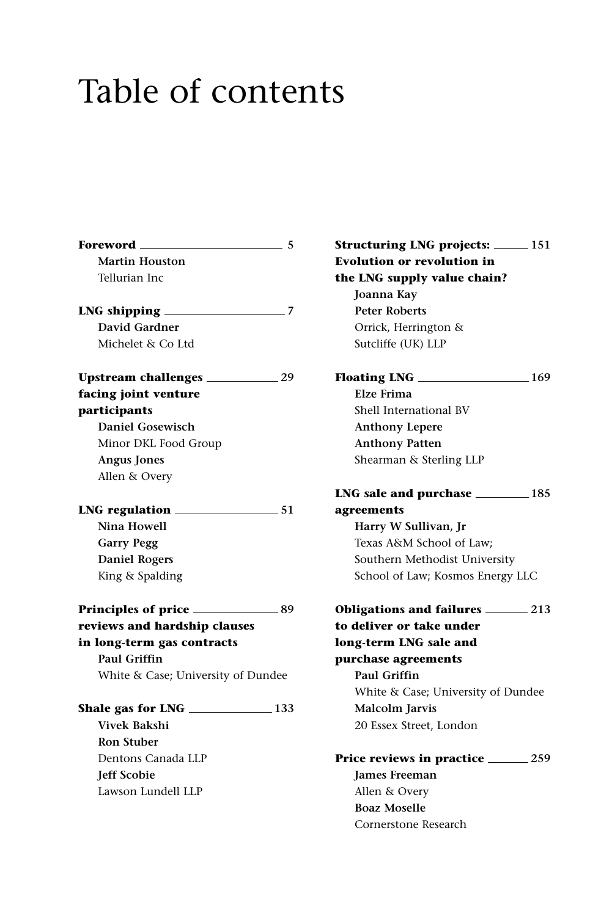## Table of contents

| Foreword ___                       | 5  |
|------------------------------------|----|
| <b>Martin Houston</b>              |    |
| Tellurian Inc                      |    |
| $LNG$ shipping $\_\_\_\_\_\_\_$    | -7 |
| David Gardner                      |    |
| Michelet & Co Ltd                  |    |
|                                    |    |
| facing joint venture               |    |
| participants                       |    |
| Daniel Gosewisch                   |    |
| Minor DKL Food Group               |    |
| <b>Angus Jones</b>                 |    |
| Allen & Overy                      |    |
|                                    |    |
| Nina Howell                        |    |
| <b>Garry Pegg</b>                  |    |
| <b>Daniel Rogers</b>               |    |
| King & Spalding                    |    |
|                                    |    |
| reviews and hardship clauses       |    |
| in long-term gas contracts         |    |
| <b>Paul Griffin</b>                |    |
| White & Case; University of Dundee |    |
| Shale gas for LNG $\_\_\_\_\_$ 133 |    |
| <b>Vivek Bakshi</b>                |    |
| <b>Ron Stuber</b>                  |    |
| Dentons Canada LLP                 |    |
| <b>Jeff Scobie</b>                 |    |
| Lawson Lundell LLP                 |    |
|                                    |    |
|                                    |    |

**Structuring LNG projects: 151 Evolution or revolution in the LNG supply value chain? Joanna Kay Peter Roberts** Orrick, Herrington & Sutcliffe (UK) LLP **Floating LNG 169 Elze Frima** Shell International BV **Anthony Lepere Anthony Patten** Shearman & Sterling LLP **LNG sale and purchase 185 agreements Harry W Sullivan, Jr** Texas A&M School of Law; Southern Methodist University School of Law; Kosmos Energy LLC **Obligations and failures 213 to deliver or take under long-term LNG sale and purchase agreements Paul Griffin** White & Case; University of Dundee **Malcolm Jarvis** 20 Essex Street, London **Price reviews in practice 259 James Freeman** Allen & Overy **Boaz Moselle** Cornerstone Research